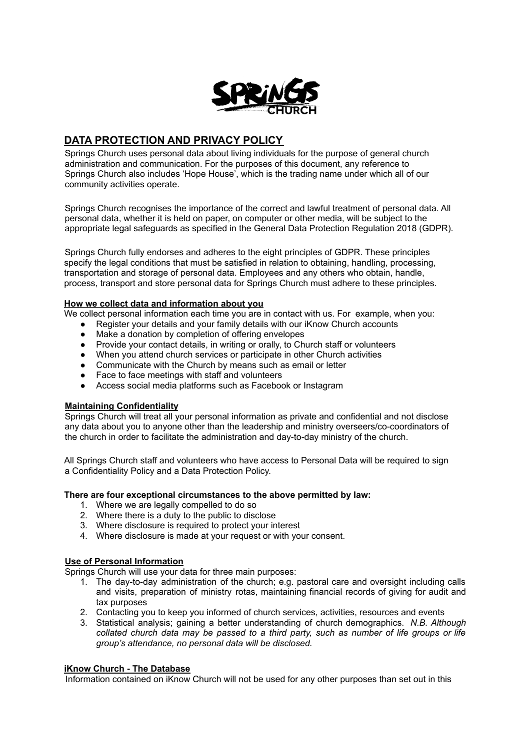

# **DATA PROTECTION AND PRIVACY POLICY**

Springs Church uses personal data about living individuals for the purpose of general church administration and communication. For the purposes of this document, any reference to Springs Church also includes 'Hope House', which is the trading name under which all of our community activities operate.

Springs Church recognises the importance of the correct and lawful treatment of personal data. All personal data, whether it is held on paper, on computer or other media, will be subject to the appropriate legal safeguards as specified in the General Data Protection Regulation 2018 (GDPR).

Springs Church fully endorses and adheres to the eight principles of GDPR. These principles specify the legal conditions that must be satisfied in relation to obtaining, handling, processing, transportation and storage of personal data. Employees and any others who obtain, handle, process, transport and store personal data for Springs Church must adhere to these principles.

### **How we collect data and information about you**

We collect personal information each time you are in contact with us. For example, when you:

- Register your details and your family details with our iKnow Church accounts
- Make a donation by completion of offering envelopes<br>● Provide your contact details, in writing or orally, to Ch
- Provide your contact details, in writing or orally, to Church staff or volunteers
- When you attend church services or participate in other Church activities
- Communicate with the Church by means such as email or letter
- Face to face meetings with staff and volunteers
- Access social media platforms such as Facebook or Instagram

#### **Maintaining Confidentiality**

Springs Church will treat all your personal information as private and confidential and not disclose any data about you to anyone other than the leadership and ministry overseers/co-coordinators of the church in order to facilitate the administration and day-to-day ministry of the church.

All Springs Church staff and volunteers who have access to Personal Data will be required to sign a Confidentiality Policy and a Data Protection Policy.

#### **There are four exceptional circumstances to the above permitted by law:**

- 1. Where we are legally compelled to do so
- 2. Where there is a duty to the public to disclose
- 3. Where disclosure is required to protect your interest
- 4. Where disclosure is made at your request or with your consent.

## **Use of Personal Information**

Springs Church will use your data for three main purposes:

- 1. The day-to-day administration of the church; e.g. pastoral care and oversight including calls and visits, preparation of ministry rotas, maintaining financial records of giving for audit and tax purposes
- 2. Contacting you to keep you informed of church services, activities, resources and events
- 3. Statistical analysis; gaining a better understanding of church demographics. *N.B. Although collated church data may be passed to a third party, such as number of life groups or life group's attendance, no personal data will be disclosed.*

## **iKnow Church - The Database**

Information contained on iKnow Church will not be used for any other purposes than set out in this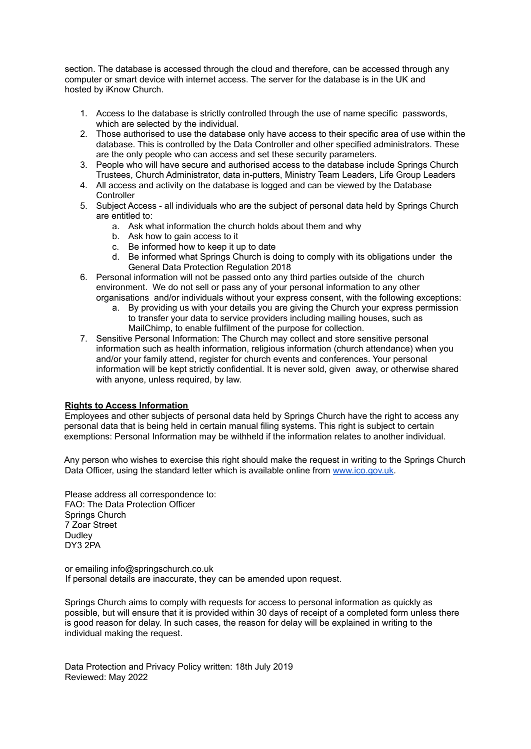section. The database is accessed through the cloud and therefore, can be accessed through any computer or smart device with internet access. The server for the database is in the UK and hosted by iKnow Church.

- 1. Access to the database is strictly controlled through the use of name specific passwords, which are selected by the individual.
- 2. Those authorised to use the database only have access to their specific area of use within the database. This is controlled by the Data Controller and other specified administrators. These are the only people who can access and set these security parameters.
- 3. People who will have secure and authorised access to the database include Springs Church Trustees, Church Administrator, data in-putters, Ministry Team Leaders, Life Group Leaders
- 4. All access and activity on the database is logged and can be viewed by the Database **Controller**
- 5. Subject Access all individuals who are the subject of personal data held by Springs Church are entitled to:
	- a. Ask what information the church holds about them and why
	- b. Ask how to gain access to it
	- c. Be informed how to keep it up to date
	- d. Be informed what Springs Church is doing to comply with its obligations under the General Data Protection Regulation 2018
- 6. Personal information will not be passed onto any third parties outside of the church environment. We do not sell or pass any of your personal information to any other organisations and/or individuals without your express consent, with the following exceptions:
	- a. By providing us with your details you are giving the Church your express permission to transfer your data to service providers including mailing houses, such as MailChimp, to enable fulfilment of the purpose for collection.
- 7. Sensitive Personal Information: The Church may collect and store sensitive personal information such as health information, religious information (church attendance) when you and/or your family attend, register for church events and conferences. Your personal information will be kept strictly confidential. It is never sold, given away, or otherwise shared with anyone, unless required, by law.

#### **Rights to Access Information**

Employees and other subjects of personal data held by Springs Church have the right to access any personal data that is being held in certain manual filing systems. This right is subject to certain exemptions: Personal Information may be withheld if the information relates to another individual.

Any person who wishes to exercise this right should make the request in writing to the Springs Church Data Officer, using the standard letter which is available online from www.ico.gov.uk.

Please address all correspondence to: FAO: The Data Protection Officer Springs Church 7 Zoar Street **Dudley** DY3 2PA

or emailing info@springschurch.co.uk If personal details are inaccurate, they can be amended upon request.

Springs Church aims to comply with requests for access to personal information as quickly as possible, but will ensure that it is provided within 30 days of receipt of a completed form unless there is good reason for delay. In such cases, the reason for delay will be explained in writing to the individual making the request.

Data Protection and Privacy Policy written: 18th July 2019 Reviewed: May 2022